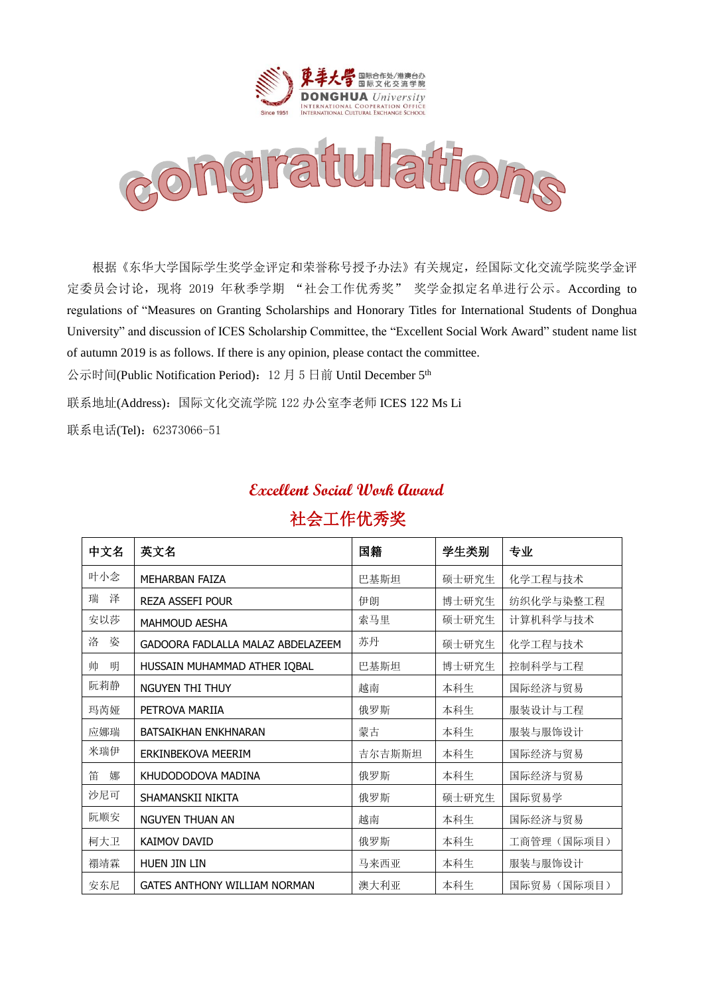



根据《东华大学国际学生奖学金评定和荣誉称号授予办法》有关规定,经国际文化交流学院奖学金评 定委员会讨论,现将 2019 年秋季学期 "社会工作优秀奖" 奖学金拟定名单进行公示。According to regulations of "Measures on Granting Scholarships and Honorary Titles for International Students of Donghua University" and discussion of ICES Scholarship Committee, the "Excellent Social Work Award" student name list of autumn 2019 is as follows. If there is any opinion, please contact the committee.

公示时间(Public Notification Period): 12 月 5 日前 Until December 5<sup>th</sup>

联系地址(Address):国际文化交流学院 122 办公室李老师 ICES 122 Ms Li

联系电话(Tel): 62373066-51

## **Excellent Social Work Award** 社会工作优秀奖

| 中文名    | 英文名                                 | 国籍     | 学生类别  | 专业          |
|--------|-------------------------------------|--------|-------|-------------|
| 叶小念    | <b>MFHARBAN FAIZA</b>               | 巴基斯坦   | 硕士研究生 | 化学工程与技术     |
| 瑞<br>泽 | <b>REZA ASSEFI POUR</b>             | 伊朗     | 博士研究生 | 纺织化学与染整工程   |
| 安以莎    | <b>MAHMOUD AESHA</b>                | 索马里    | 硕士研究生 | 计算机科学与技术    |
| 洛<br>姿 | GADOORA FADLALLA MALAZ ABDELAZEEM   | 苏丹     | 硕士研究生 | 化学工程与技术     |
| 帅<br>明 | HUSSAIN MUHAMMAD ATHER IQBAL        | 巴基斯坦   | 博士研究生 | 控制科学与工程     |
| 阮莉静    | NGUYEN THI THUY                     | 越南     | 本科生   | 国际经济与贸易     |
| 玛芮娅    | PETROVA MARIIA                      | 俄罗斯    | 本科生   | 服装设计与工程     |
| 应娜瑞    | <b>BATSAIKHAN ENKHNARAN</b>         | 蒙古     | 本科生   | 服装与服饰设计     |
| 米瑞伊    | ERKINBEKOVA MEERIM                  | 吉尔吉斯斯坦 | 本科生   | 国际经济与贸易     |
| 笛<br>娜 | KHUDODODOVA MADINA                  | 俄罗斯    | 本科生   | 国际经济与贸易     |
| 沙尼可    | SHAMANSKII NIKITA                   | 俄罗斯    | 硕士研究生 | 国际贸易学       |
| 阮顺安    | NGUYEN THUAN AN                     | 越南     | 本科生   | 国际经济与贸易     |
| 柯大卫    | <b>KAIMOV DAVID</b>                 | 俄罗斯    | 本科生   | 工商管理 (国际项目) |
| 禤靖霖    | HUEN JIN LIN                        | 马来西亚   | 本科生   | 服装与服饰设计     |
| 安东尼    | <b>GATES ANTHONY WILLIAM NORMAN</b> | 澳大利亚   | 本科生   | 国际贸易 (国际项目) |